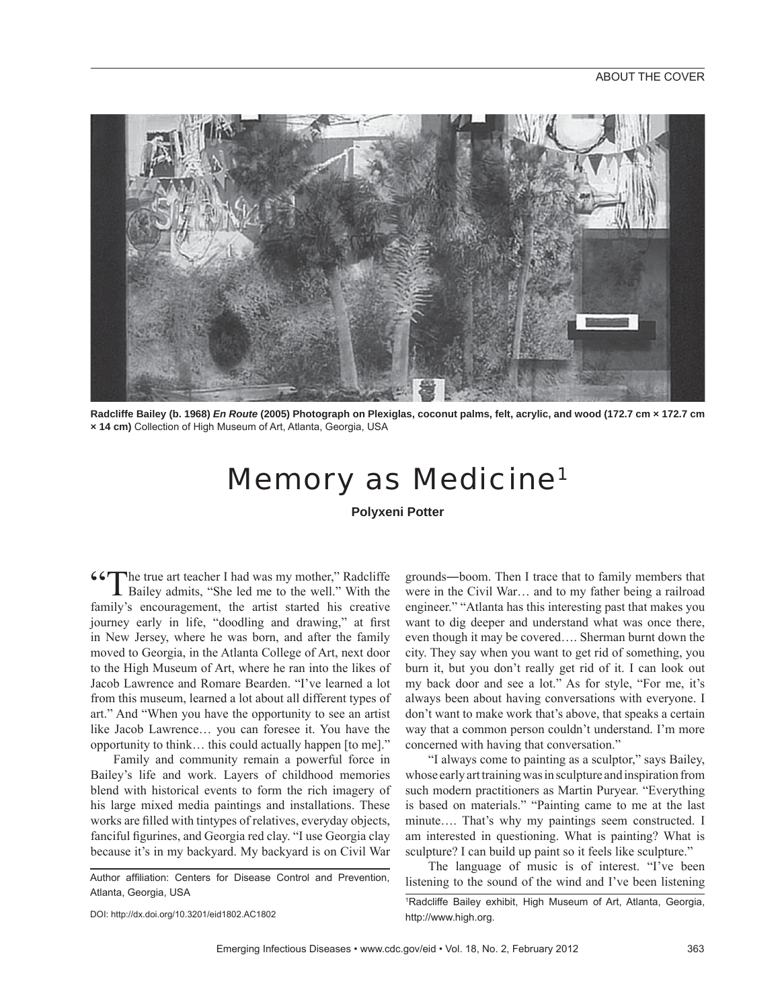

**Radcliffe Bailey (b. 1968)** *En Route* **(2005) Photograph on Plexiglas, coconut palms, felt, acrylic, and wood (172.7 cm × 172.7 cm × 14 cm)** Collection of High Museum of Art, Atlanta, Georgia, USA

## Memory as Medicine1

**Polyxeni Potter**

**66** The true art teacher I had was my mother," Radcliffe Bailey admits, "She led me to the well." With the family's encouragement, the artist started his creative journey early in life, "doodling and drawing," at first in New Jersey, where he was born, and after the family moved to Georgia, in the Atlanta College of Art, next door to the High Museum of Art, where he ran into the likes of Jacob Lawrence and Romare Bearden. "I've learned a lot from this museum, learned a lot about all different types of art." And "When you have the opportunity to see an artist like Jacob Lawrence… you can foresee it. You have the opportunity to think… this could actually happen [to me]."

Family and community remain a powerful force in Bailey's life and work. Layers of childhood memories blend with historical events to form the rich imagery of his large mixed media paintings and installations. These works are filled with tintypes of relatives, everyday objects, fanciful figurines, and Georgia red clay. "I use Georgia clay because it's in my backyard. My backyard is on Civil War

Author affiliation: Centers for Disease Control and Prevention. Atlanta, Georgia, USA

DOI: http://dx.doi.org/10.3201/eid1802.AC1802

grounds―boom. Then I trace that to family members that were in the Civil War… and to my father being a railroad engineer." "Atlanta has this interesting past that makes you want to dig deeper and understand what was once there, even though it may be covered…. Sherman burnt down the city. They say when you want to get rid of something, you burn it, but you don't really get rid of it. I can look out my back door and see a lot." As for style, "For me, it's always been about having conversations with everyone. I don't want to make work that's above, that speaks a certain way that a common person couldn't understand. I'm more concerned with having that conversation."

"I always come to painting as a sculptor," says Bailey, whose early art training was in sculpture and inspiration from such modern practitioners as Martin Puryear. "Everything is based on materials." "Painting came to me at the last minute…. That's why my paintings seem constructed. I am interested in questioning. What is painting? What is sculpture? I can build up paint so it feels like sculpture."

The language of music is of interest. "I've been listening to the sound of the wind and I've been listening

<sup>1</sup> Radcliffe Bailey exhibit, High Museum of Art, Atlanta, Georgia, http://www.high.org.